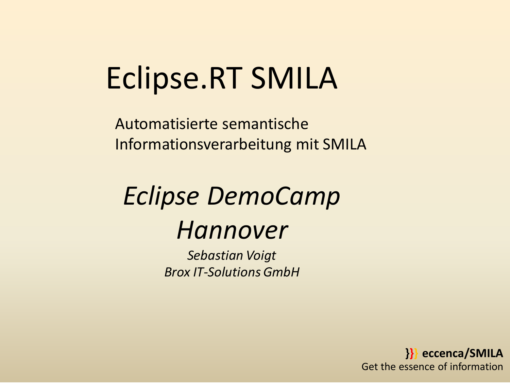# Eclipse.RT SMILA

Automatisierte semantische Informationsverarbeitung mit SMILA

## *Eclipse DemoCamp Hannover*

*Sebastian Voigt Brox IT-Solutions GmbH*

> **}}} eccenca/SMILA** Get the essence of information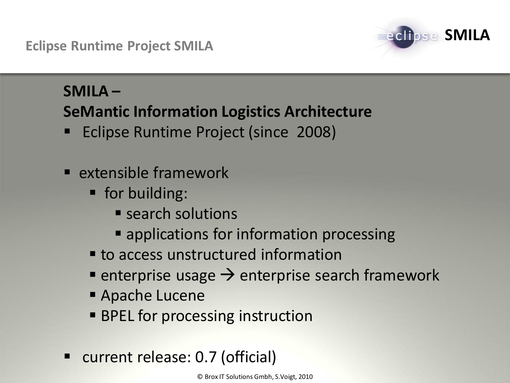**Eclipse Runtime Project SMILA**



### **SMILA –**

### **SeMantic Information Logistics Architecture**

- Eclipse Runtime Project (since 2008)
- $\blacksquare$  extensible framework
	- **for building:** 
		- **Search solutions**
		- **E** applications for information processing
	- **to access unstructured information**
	- **Example 1** enterprise search framework
	- Apache Lucene
	- **BPEL for processing instruction**
- current release: 0.7 (official)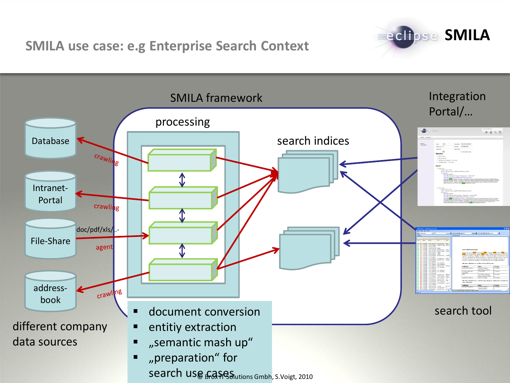**SMILA use case: e.g Enterprise Search Context**



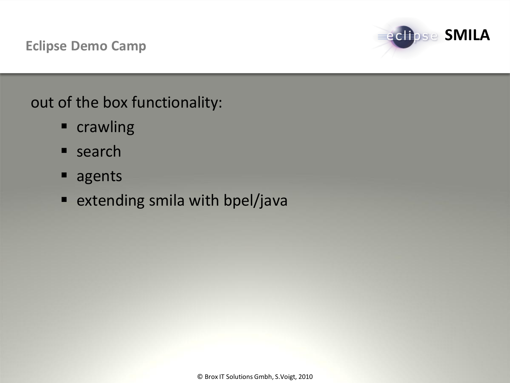

### out of the box functionality:

- **E** crawling
- **search**
- agents
- **Extending smila with bpel/java**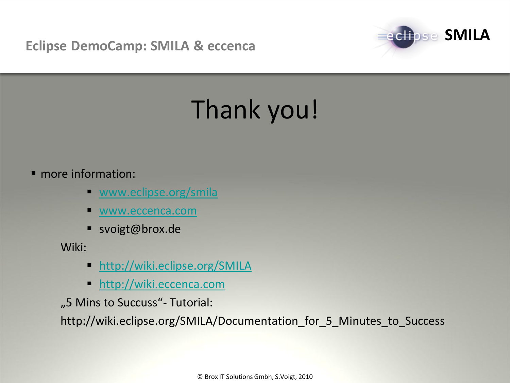**Eclipse DemoCamp: SMILA & eccenca**



## Thank you!

#### • more information:

- **WWW.eclipse.org/smila**
- [www.eccenca.com](http://www.eccenca.com/)
- svoigt@brox.de

Wiki:

- **<http://wiki.eclipse.org/SMILA>**
- [http://wiki.eccenca.com](http://wiki.eccenca.com/)

"5 Mins to Succuss"- Tutorial:

http://wiki.eclipse.org/SMILA/Documentation\_for\_5\_Minutes\_to\_Success